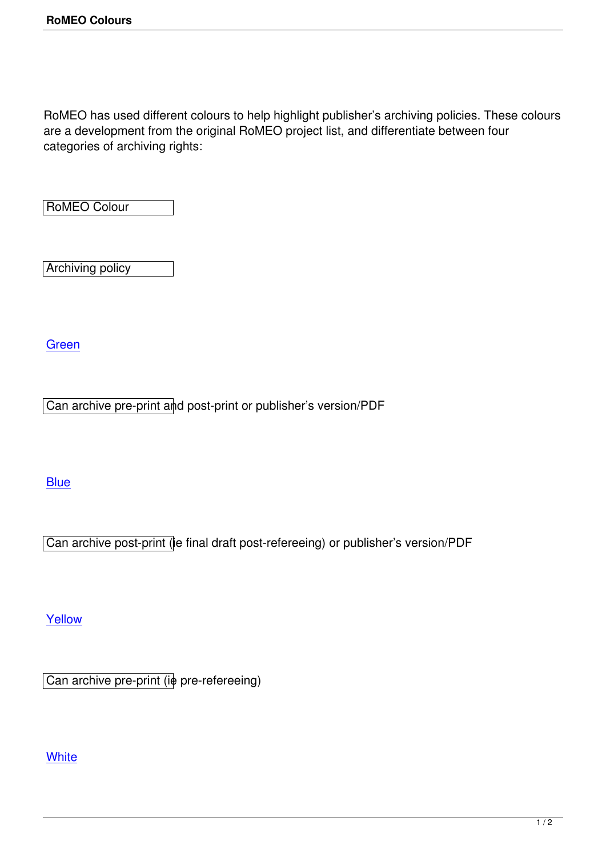RoMEO has used different colours to help highlight publisher's archiving policies. These colours are a development from the original RoMEO project list, and differentiate between four categories of archiving rights:

RoMEO Colour

Archiving policy

**Green** 

[Can ar](http://www.sherpa.ac.uk/romeo.php?colour=green)chive pre-print and post-print or publisher's version/PDF

## **Blue**

[Can](http://www.sherpa.ac.uk/romeo.php?colour=blue) archive post-print (ie final draft post-refereeing) or publisher's version/PDF

Yellow

[Can ar](http://www.sherpa.ac.uk/romeo.php?colour=yellow)chive pre-print (ie pre-refereeing)

## **White**